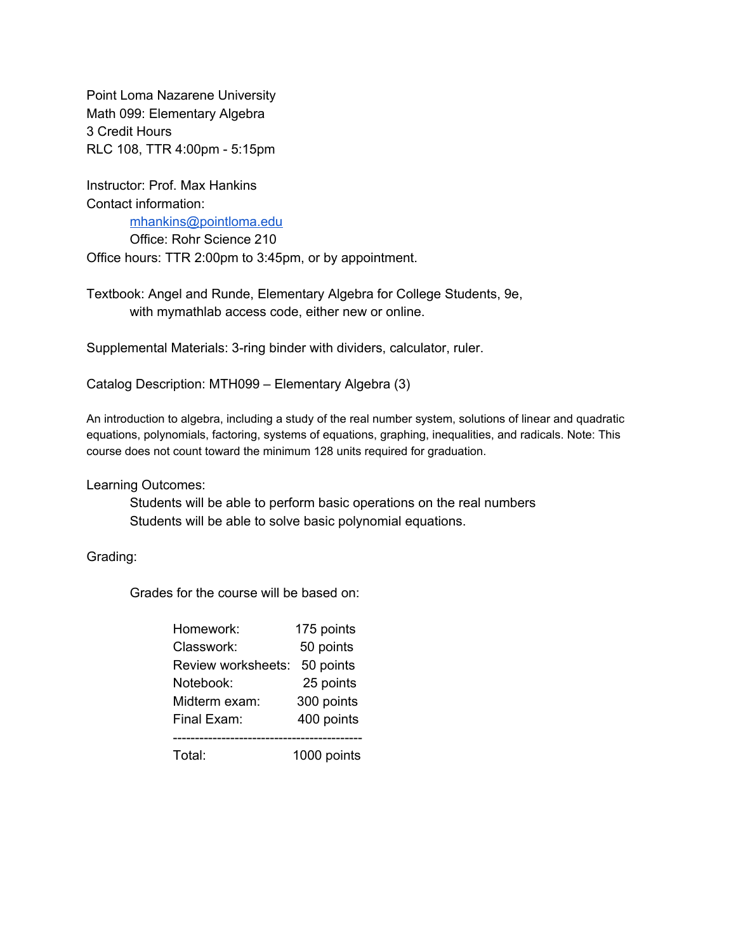Point Loma Nazarene University Math 099: Elementary Algebra 3 Credit Hours RLC 108, TTR 4:00pm - 5:15pm

Instructor: Prof. Max Hankins Contact information:

[mhankins@pointloma.edu](mailto:mhankins@pointloma.edu)

Office: Rohr Science 210 Office hours: TTR 2:00pm to 3:45pm, or by appointment.

Textbook: Angel and Runde, Elementary Algebra for College Students, 9e, with mymathlab access code, either new or online.

Supplemental Materials: 3-ring binder with dividers, calculator, ruler.

Catalog Description: MTH099 – Elementary Algebra (3)

An introduction to algebra, including a study of the real number system, solutions of linear and quadratic equations, polynomials, factoring, systems of equations, graphing, inequalities, and radicals. Note: This course does not count toward the minimum 128 units required for graduation.

Learning Outcomes:

Students will be able to perform basic operations on the real numbers Students will be able to solve basic polynomial equations.

Grading:

Grades for the course will be based on:

| Homework:          | 175 points  |
|--------------------|-------------|
| Classwork:         | 50 points   |
| Review worksheets: | 50 points   |
| Notebook:          | 25 points   |
| Midterm exam:      | 300 points  |
| Final Exam:        | 400 points  |
|                    |             |
| Total:             | 1000 points |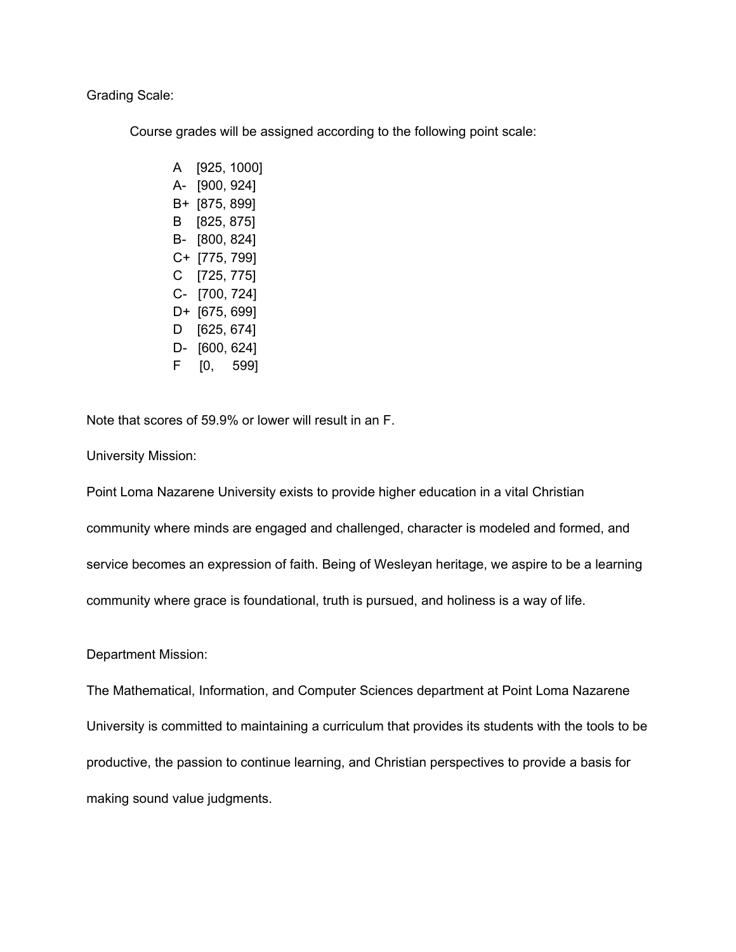#### Grading Scale:

Course grades will be assigned according to the following point scale:

A [925, 1000] A- [900, 924] B+ [875, 899] B [825, 875] B- [800, 824] C+ [775, 799] C [725, 775] C- [700, 724] D+ [675, 699] D [625, 674] D- [600, 624] F [0, 599]

Note that scores of 59.9% or lower will result in an F.

University Mission:

Point Loma Nazarene University exists to provide higher education in a vital Christian

community where minds are engaged and challenged, character is modeled and formed, and

service becomes an expression of faith. Being of Wesleyan heritage, we aspire to be a learning

community where grace is foundational, truth is pursued, and holiness is a way of life.

Department Mission:

The Mathematical, Information, and Computer Sciences department at Point Loma Nazarene University is committed to maintaining a curriculum that provides its students with the tools to be productive, the passion to continue learning, and Christian perspectives to provide a basis for making sound value judgments.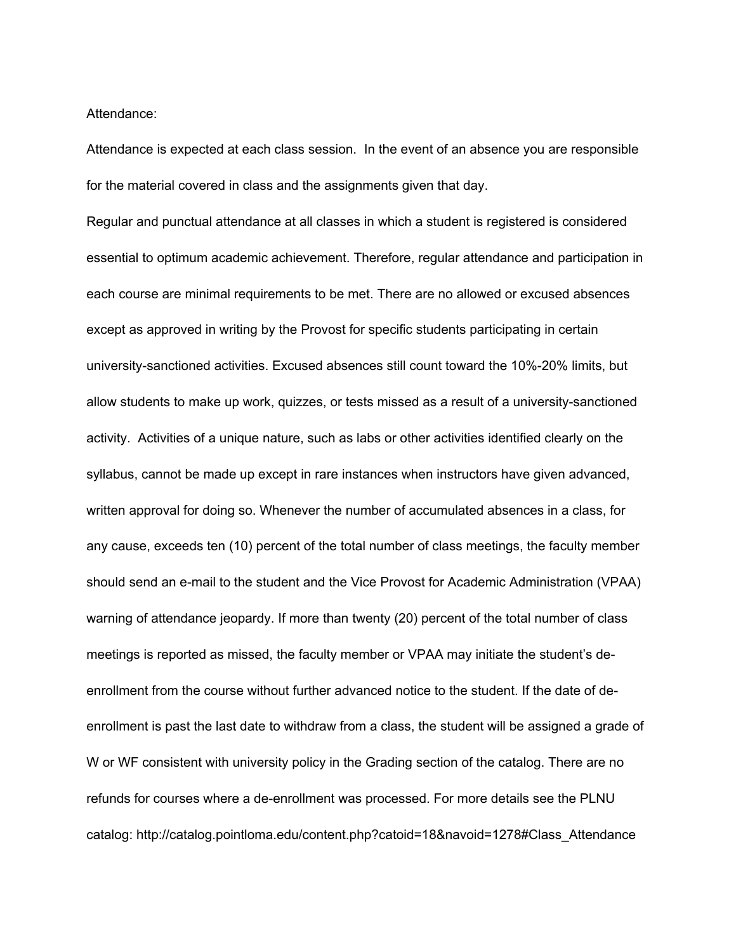Attendance:

Attendance is expected at each class session. In the event of an absence you are responsible for the material covered in class and the assignments given that day.

Regular and punctual attendance at all classes in which a student is registered is considered essential to optimum academic achievement. Therefore, regular attendance and participation in each course are minimal requirements to be met. There are no allowed or excused absences except as approved in writing by the Provost for specific students participating in certain university-sanctioned activities. Excused absences still count toward the 10%-20% limits, but allow students to make up work, quizzes, or tests missed as a result of a university-sanctioned activity. Activities of a unique nature, such as labs or other activities identified clearly on the syllabus, cannot be made up except in rare instances when instructors have given advanced, written approval for doing so. Whenever the number of accumulated absences in a class, for any cause, exceeds ten (10) percent of the total number of class meetings, the faculty member should send an e-mail to the student and the Vice Provost for Academic Administration (VPAA) warning of attendance jeopardy. If more than twenty (20) percent of the total number of class meetings is reported as missed, the faculty member or VPAA may initiate the student's deenrollment from the course without further advanced notice to the student. If the date of deenrollment is past the last date to withdraw from a class, the student will be assigned a grade of W or WF consistent with university policy in the Grading section of the catalog. There are no refunds for courses where a de-enrollment was processed. For more details see the PLNU catalog: http://catalog.pointloma.edu/content.php?catoid=18&navoid=1278#Class\_Attendance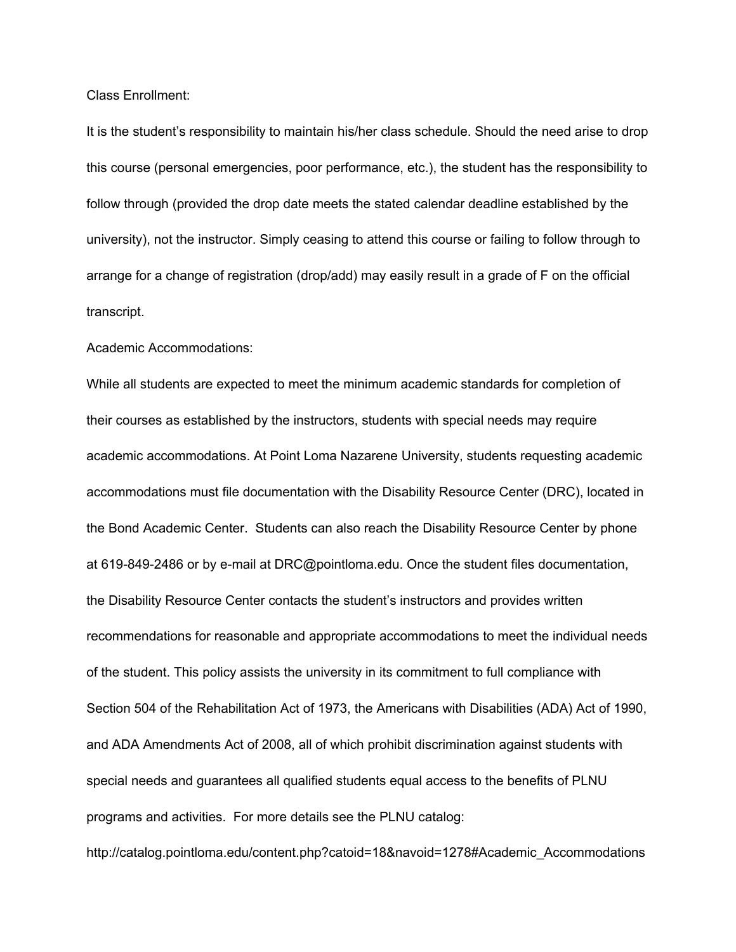Class Enrollment:

It is the student's responsibility to maintain his/her class schedule. Should the need arise to drop this course (personal emergencies, poor performance, etc.), the student has the responsibility to follow through (provided the drop date meets the stated calendar deadline established by the university), not the instructor. Simply ceasing to attend this course or failing to follow through to arrange for a change of registration (drop/add) may easily result in a grade of F on the official transcript.

#### Academic Accommodations:

While all students are expected to meet the minimum academic standards for completion of their courses as established by the instructors, students with special needs may require academic accommodations. At Point Loma Nazarene University, students requesting academic accommodations must file documentation with the Disability Resource Center (DRC), located in the Bond Academic Center. Students can also reach the Disability Resource Center by phone at 619-849-2486 or by e-mail at DRC@pointloma.edu. Once the student files documentation, the Disability Resource Center contacts the student's instructors and provides written recommendations for reasonable and appropriate accommodations to meet the individual needs of the student. This policy assists the university in its commitment to full compliance with Section 504 of the Rehabilitation Act of 1973, the Americans with Disabilities (ADA) Act of 1990, and ADA Amendments Act of 2008, all of which prohibit discrimination against students with special needs and guarantees all qualified students equal access to the benefits of PLNU programs and activities. For more details see the PLNU catalog:

http://catalog.pointloma.edu/content.php?catoid=18&navoid=1278#Academic\_Accommodations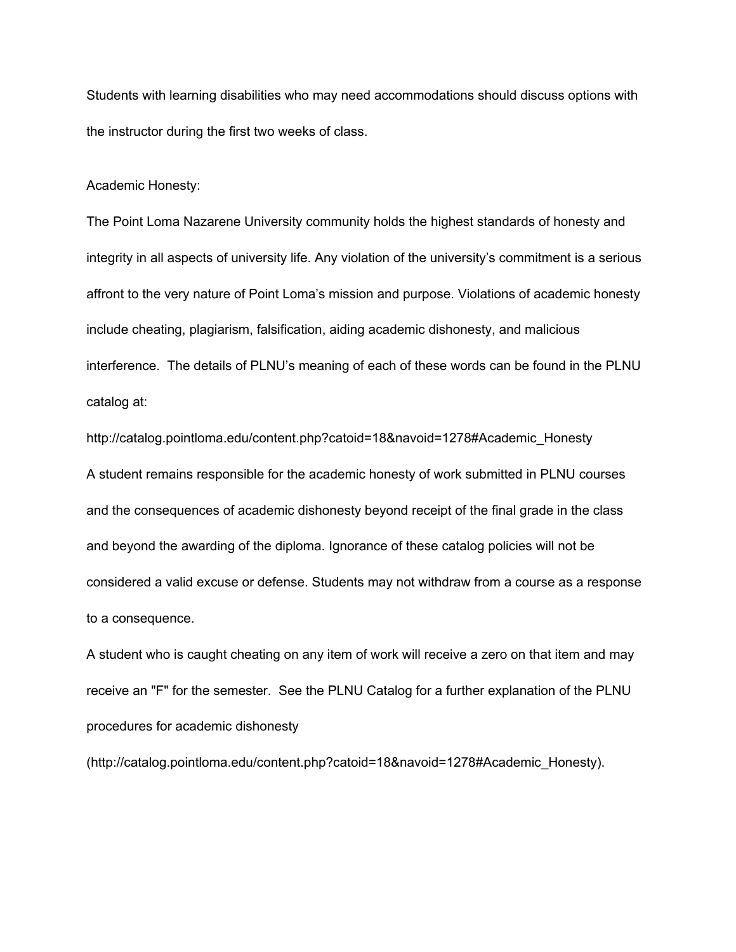Students with learning disabilities who may need accommodations should discuss options with the instructor during the first two weeks of class.

#### Academic Honesty:

The Point Loma Nazarene University community holds the highest standards of honesty and integrity in all aspects of university life. Any violation of the university's commitment is a serious affront to the very nature of Point Loma's mission and purpose. Violations of academic honesty include cheating, plagiarism, falsification, aiding academic dishonesty, and malicious interference. The details of PLNU's meaning of each of these words can be found in the PLNU catalog at:

http://catalog.pointloma.edu/content.php?catoid=18&navoid=1278#Academic\_Honesty A student remains responsible for the academic honesty of work submitted in PLNU courses and the consequences of academic dishonesty beyond receipt of the final grade in the class and beyond the awarding of the diploma. Ignorance of these catalog policies will not be considered a valid excuse or defense. Students may not withdraw from a course as a response to a consequence.

A student who is caught cheating on any item of work will receive a zero on that item and may receive an "F" for the semester. See the PLNU Catalog for a further explanation of the PLNU procedures for academic dishonesty

(http://catalog.pointloma.edu/content.php?catoid=18&navoid=1278#Academic\_Honesty).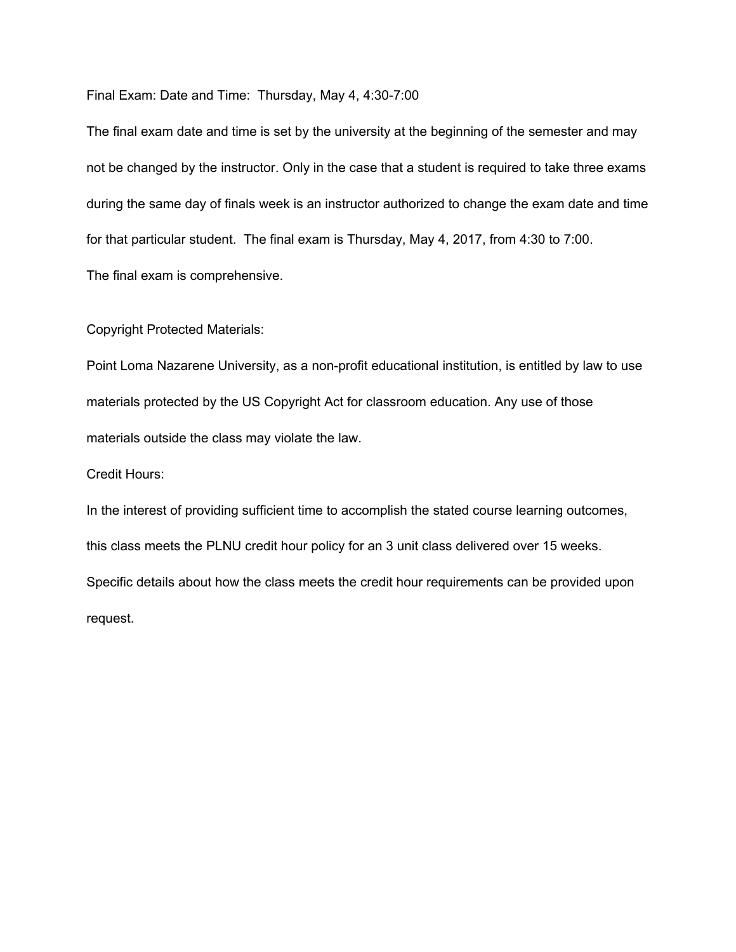Final Exam: Date and Time: Thursday, May 4, 4:30-7:00

The final exam date and time is set by the university at the beginning of the semester and may not be changed by the instructor. Only in the case that a student is required to take three exams during the same day of finals week is an instructor authorized to change the exam date and time for that particular student. The final exam is Thursday, May 4, 2017, from 4:30 to 7:00. The final exam is comprehensive.

Copyright Protected Materials:

Point Loma Nazarene University, as a non-profit educational institution, is entitled by law to use materials protected by the US Copyright Act for classroom education. Any use of those materials outside the class may violate the law.

Credit Hours:

In the interest of providing sufficient time to accomplish the stated course learning outcomes, this class meets the PLNU credit hour policy for an 3 unit class delivered over 15 weeks. Specific details about how the class meets the credit hour requirements can be provided upon request.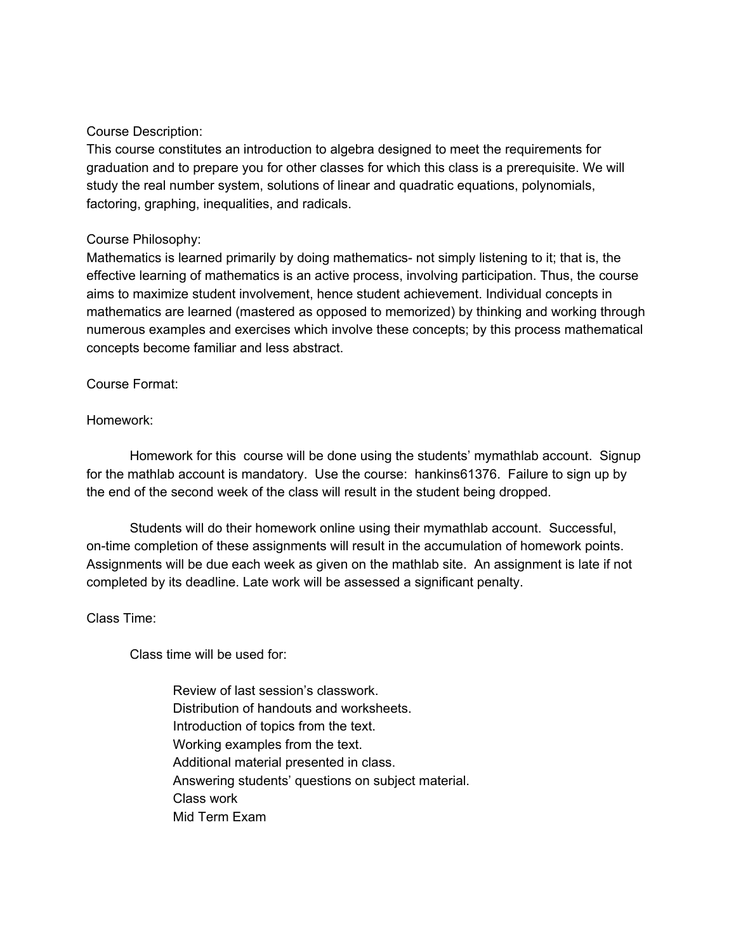# Course Description:

This course constitutes an introduction to algebra designed to meet the requirements for graduation and to prepare you for other classes for which this class is a prerequisite. We will study the real number system, solutions of linear and quadratic equations, polynomials, factoring, graphing, inequalities, and radicals.

# Course Philosophy:

Mathematics is learned primarily by doing mathematics- not simply listening to it; that is, the effective learning of mathematics is an active process, involving participation. Thus, the course aims to maximize student involvement, hence student achievement. Individual concepts in mathematics are learned (mastered as opposed to memorized) by thinking and working through numerous examples and exercises which involve these concepts; by this process mathematical concepts become familiar and less abstract.

Course Format:

# Homework:

Homework for this course will be done using the students' mymathlab account. Signup for the mathlab account is mandatory. Use the course: hankins61376. Failure to sign up by the end of the second week of the class will result in the student being dropped.

Students will do their homework online using their mymathlab account. Successful, on-time completion of these assignments will result in the accumulation of homework points. Assignments will be due each week as given on the mathlab site. An assignment is late if not completed by its deadline. Late work will be assessed a significant penalty.

#### Class Time:

Class time will be used for:

Review of last session's classwork. Distribution of handouts and worksheets. Introduction of topics from the text. Working examples from the text. Additional material presented in class. Answering students' questions on subject material. Class work Mid Term Exam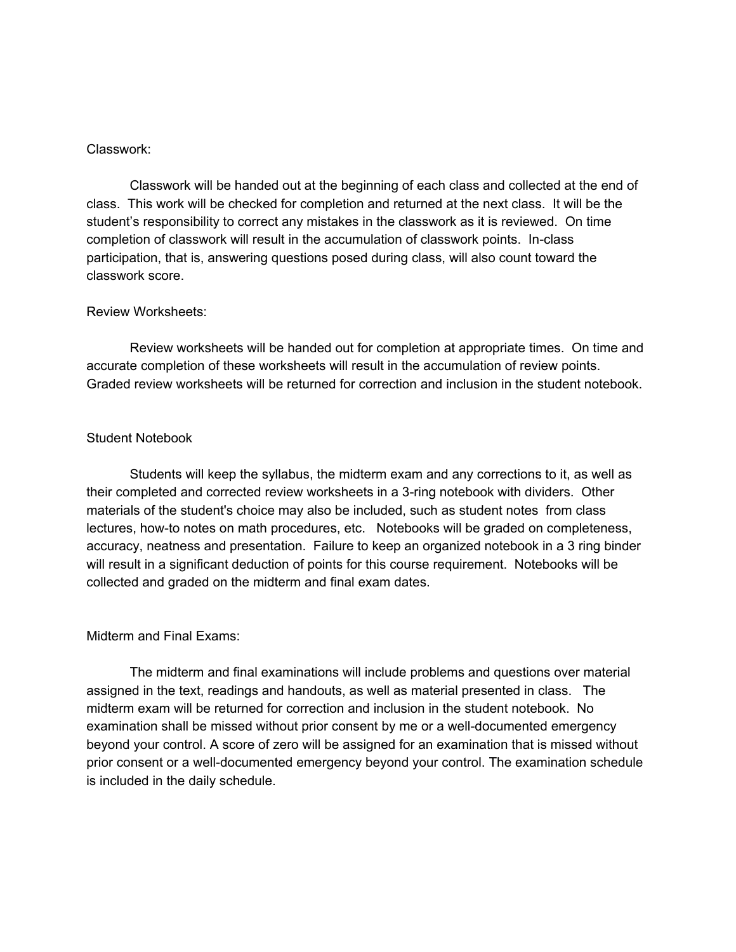### Classwork:

Classwork will be handed out at the beginning of each class and collected at the end of class. This work will be checked for completion and returned at the next class. It will be the student's responsibility to correct any mistakes in the classwork as it is reviewed. On time completion of classwork will result in the accumulation of classwork points. In-class participation, that is, answering questions posed during class, will also count toward the classwork score.

# Review Worksheets:

Review worksheets will be handed out for completion at appropriate times. On time and accurate completion of these worksheets will result in the accumulation of review points. Graded review worksheets will be returned for correction and inclusion in the student notebook.

# Student Notebook

Students will keep the syllabus, the midterm exam and any corrections to it, as well as their completed and corrected review worksheets in a 3-ring notebook with dividers. Other materials of the student's choice may also be included, such as student notes from class lectures, how-to notes on math procedures, etc. Notebooks will be graded on completeness, accuracy, neatness and presentation. Failure to keep an organized notebook in a 3 ring binder will result in a significant deduction of points for this course requirement. Notebooks will be collected and graded on the midterm and final exam dates.

# Midterm and Final Exams:

The midterm and final examinations will include problems and questions over material assigned in the text, readings and handouts, as well as material presented in class. The midterm exam will be returned for correction and inclusion in the student notebook. No examination shall be missed without prior consent by me or a well-documented emergency beyond your control. A score of zero will be assigned for an examination that is missed without prior consent or a well-documented emergency beyond your control. The examination schedule is included in the daily schedule.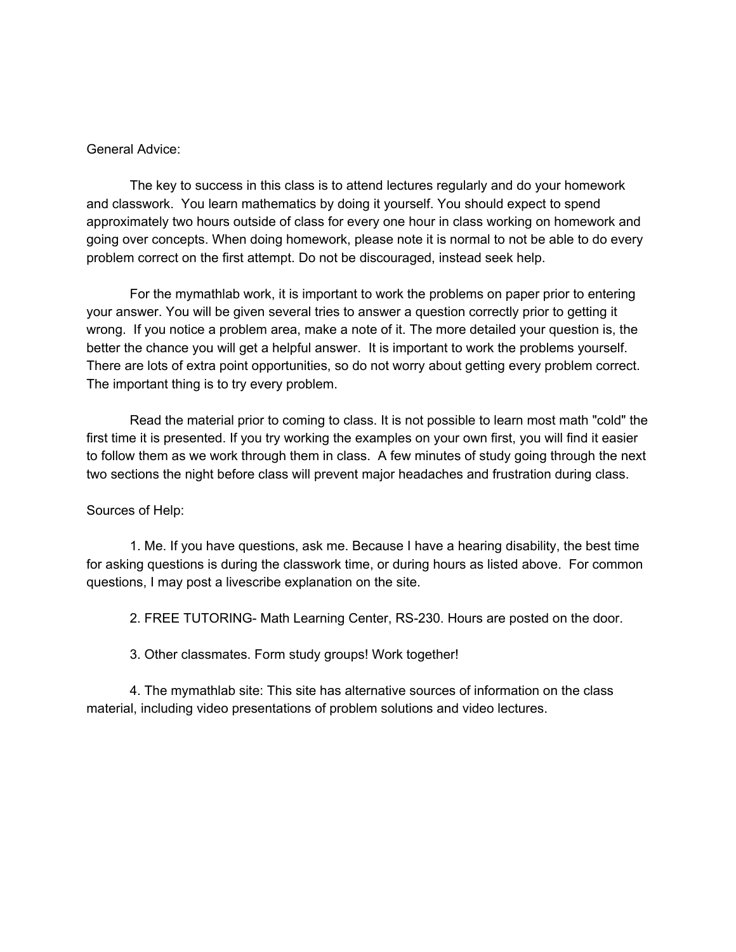### General Advice:

The key to success in this class is to attend lectures regularly and do your homework and classwork. You learn mathematics by doing it yourself. You should expect to spend approximately two hours outside of class for every one hour in class working on homework and going over concepts. When doing homework, please note it is normal to not be able to do every problem correct on the first attempt. Do not be discouraged, instead seek help.

For the mymathlab work, it is important to work the problems on paper prior to entering your answer. You will be given several tries to answer a question correctly prior to getting it wrong. If you notice a problem area, make a note of it. The more detailed your question is, the better the chance you will get a helpful answer. It is important to work the problems yourself. There are lots of extra point opportunities, so do not worry about getting every problem correct. The important thing is to try every problem.

Read the material prior to coming to class. It is not possible to learn most math "cold" the first time it is presented. If you try working the examples on your own first, you will find it easier to follow them as we work through them in class. A few minutes of study going through the next two sections the night before class will prevent major headaches and frustration during class.

# Sources of Help:

1. Me. If you have questions, ask me. Because I have a hearing disability, the best time for asking questions is during the classwork time, or during hours as listed above. For common questions, I may post a livescribe explanation on the site.

2. FREE TUTORING- Math Learning Center, RS-230. Hours are posted on the door.

3. Other classmates. Form study groups! Work together!

4. The mymathlab site: This site has alternative sources of information on the class material, including video presentations of problem solutions and video lectures.